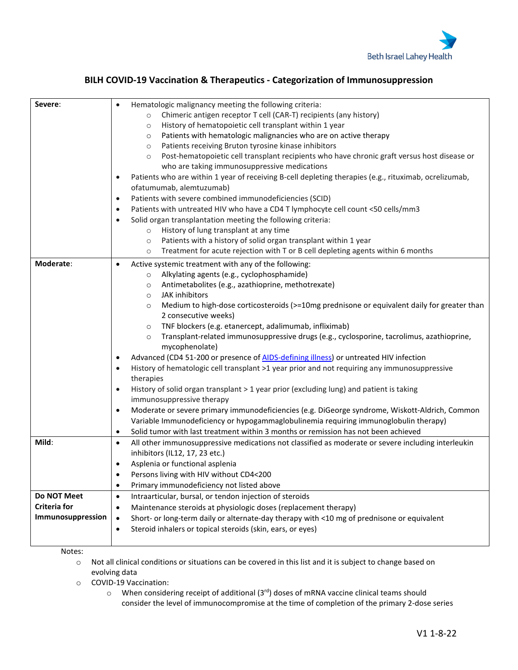

## **BILH COVID-19 Vaccination & Therapeutics - Categorization of Immunosuppression**

| Severe:             | Hematologic malignancy meeting the following criteria:<br>$\bullet$                                                |
|---------------------|--------------------------------------------------------------------------------------------------------------------|
|                     | Chimeric antigen receptor T cell (CAR-T) recipients (any history)<br>$\circ$                                       |
|                     | History of hematopoietic cell transplant within 1 year<br>$\circ$                                                  |
|                     | Patients with hematologic malignancies who are on active therapy<br>$\circ$                                        |
|                     | Patients receiving Bruton tyrosine kinase inhibitors<br>$\circ$                                                    |
|                     | Post-hematopoietic cell transplant recipients who have chronic graft versus host disease or<br>$\circ$             |
|                     | who are taking immunosuppressive medications                                                                       |
|                     | Patients who are within 1 year of receiving B-cell depleting therapies (e.g., rituximab, ocrelizumab,<br>$\bullet$ |
|                     | ofatumumab, alemtuzumab)                                                                                           |
|                     | Patients with severe combined immunodeficiencies (SCID)<br>$\bullet$                                               |
|                     | Patients with untreated HIV who have a CD4 T lymphocyte cell count <50 cells/mm3<br>$\bullet$                      |
|                     | Solid organ transplantation meeting the following criteria:<br>$\bullet$                                           |
|                     | History of lung transplant at any time<br>$\circ$                                                                  |
|                     | Patients with a history of solid organ transplant within 1 year<br>$\circ$                                         |
|                     | Treatment for acute rejection with T or B cell depleting agents within 6 months<br>$\circ$                         |
| Moderate:           | Active systemic treatment with any of the following:<br>$\bullet$                                                  |
|                     | Alkylating agents (e.g., cyclophosphamide)<br>$\circ$                                                              |
|                     | Antimetabolites (e.g., azathioprine, methotrexate)<br>$\circ$                                                      |
|                     | JAK inhibitors<br>$\circ$                                                                                          |
|                     | Medium to high-dose corticosteroids (>=10mg prednisone or equivalent daily for greater than<br>$\circ$             |
|                     | 2 consecutive weeks)                                                                                               |
|                     | TNF blockers (e.g. etanercept, adalimumab, infliximab)<br>$\circ$                                                  |
|                     | Transplant-related immunosuppressive drugs (e.g., cyclosporine, tacrolimus, azathioprine,<br>$\circ$               |
|                     | mycophenolate)                                                                                                     |
|                     | Advanced (CD4 51-200 or presence of AIDS-defining illness) or untreated HIV infection<br>$\bullet$                 |
|                     | History of hematologic cell transplant >1 year prior and not requiring any immunosuppressive<br>$\bullet$          |
|                     | therapies                                                                                                          |
|                     | History of solid organ transplant > 1 year prior (excluding lung) and patient is taking<br>$\bullet$               |
|                     | immunosuppressive therapy                                                                                          |
|                     | Moderate or severe primary immunodeficiencies (e.g. DiGeorge syndrome, Wiskott-Aldrich, Common<br>$\bullet$        |
|                     | Variable Immunodeficiency or hypogammaglobulinemia requiring immunoglobulin therapy)                               |
|                     | Solid tumor with last treatment within 3 months or remission has not been achieved<br>$\bullet$                    |
| Mild:               | All other immunosuppressive medications not classified as moderate or severe including interleukin<br>$\bullet$    |
|                     | inhibitors (IL12, 17, 23 etc.)                                                                                     |
|                     | Asplenia or functional asplenia<br>٠                                                                               |
|                     | Persons living with HIV without CD4<200                                                                            |
|                     | Primary immunodeficiency not listed above<br>$\bullet$                                                             |
| Do NOT Meet         | Intraarticular, bursal, or tendon injection of steroids<br>$\bullet$                                               |
| <b>Criteria for</b> | Maintenance steroids at physiologic doses (replacement therapy)<br>$\bullet$                                       |
| Immunosuppression   | Short- or long-term daily or alternate-day therapy with <10 mg of prednisone or equivalent<br>$\bullet$            |
|                     | Steroid inhalers or topical steroids (skin, ears, or eyes)<br>$\bullet$                                            |
|                     |                                                                                                                    |

Notes:

o Not all clinical conditions or situations can be covered in this list and it is subject to change based on evolving data

o COVID-19 Vaccination:

 $\circ$  When considering receipt of additional (3<sup>rd</sup>) doses of mRNA vaccine clinical teams should consider the level of immunocompromise at the time of completion of the primary 2-dose series